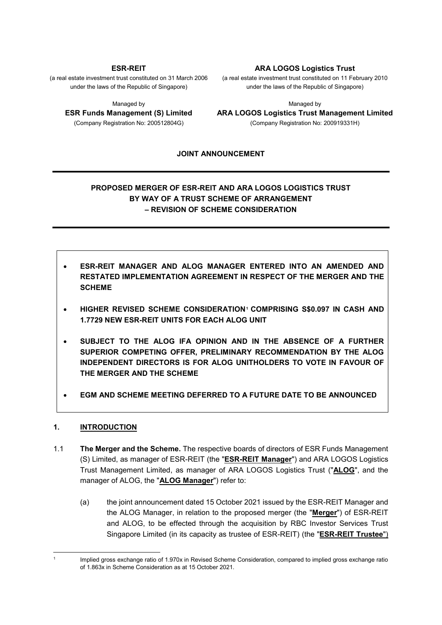#### **ESR-REIT**

(a real estate investment trust constituted on 31 March 2006 under the laws of the Republic of Singapore)

Managed by

**ESR Funds Management (S) Limited** (Company Registration No: 200512804G)

#### **ARA LOGOS Logistics Trust**

(a real estate investment trust constituted on 11 February 2010 under the laws of the Republic of Singapore)

Managed by **ARA LOGOS Logistics Trust Management Limited** (Company Registration No: 200919331H)

#### **JOINT ANNOUNCEMENT**

# **PROPOSED MERGER OF ESR-REIT AND ARA LOGOS LOGISTICS TRUST BY WAY OF A TRUST SCHEME OF ARRANGEMENT – REVISION OF SCHEME CONSIDERATION**

- **ESR-REIT MANAGER AND ALOG MANAGER ENTERED INTO AN AMENDED AND RESTATED IMPLEMENTATION AGREEMENT IN RESPECT OF THE MERGER AND THE SCHEME**
- **HIGHER REVISED SCHEME CONSIDERATION<sup>1</sup> COMPRISING S\$0.097 IN CASH AND 1.7729 NEW ESR-REIT UNITS FOR EACH ALOG UNIT**
- **SUBJECT TO THE ALOG IFA OPINION AND IN THE ABSENCE OF A FURTHER SUPERIOR COMPETING OFFER, PRELIMINARY RECOMMENDATION BY THE ALOG INDEPENDENT DIRECTORS IS FOR ALOG UNITHOLDERS TO VOTE IN FAVOUR OF THE MERGER AND THE SCHEME**
- **EGM AND SCHEME MEETING DEFERRED TO A FUTURE DATE TO BE ANNOUNCED**

## **1. INTRODUCTION**

- 1.1 **The Merger and the Scheme.** The respective boards of directors of ESR Funds Management (S) Limited, as manager of ESR-REIT (the "**ESR-REIT Manager**") and ARA LOGOS Logistics Trust Management Limited, as manager of ARA LOGOS Logistics Trust ("**ALOG**", and the manager of ALOG, the "**ALOG Manager**") refer to:
	- (a) the joint announcement dated 15 October 2021 issued by the ESR-REIT Manager and the ALOG Manager, in relation to the proposed merger (the "**Merger**") of ESR-REIT and ALOG, to be effected through the acquisition by RBC Investor Services Trust Singapore Limited (in its capacity as trustee of ESR-REIT) (the "**ESR-REIT Trustee**")

Implied gross exchange ratio of 1.970x in Revised Scheme Consideration, compared to implied gross exchange ratio of 1.863x in Scheme Consideration as at 15 October 2021.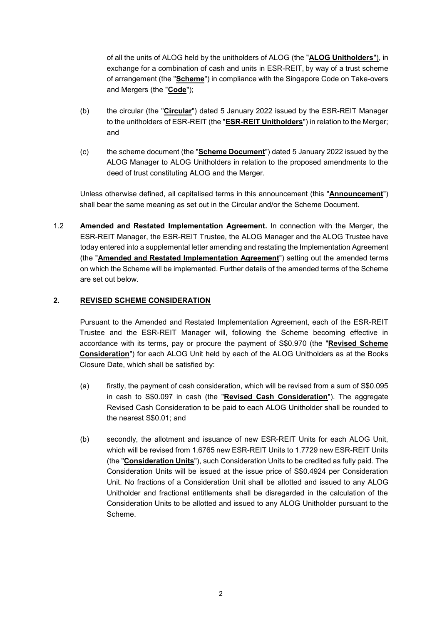of all the units of ALOG held by the unitholders of ALOG (the "**ALOG Unitholders**"), in exchange for a combination of cash and units in ESR-REIT, by way of a trust scheme of arrangement (the "**Scheme**") in compliance with the Singapore Code on Take-overs and Mergers (the "**Code**");

- (b) the circular (the "**Circular**") dated 5 January 2022 issued by the ESR-REIT Manager to the unitholders of ESR-REIT (the "**ESR-REIT Unitholders**") in relation to the Merger; and
- (c) the scheme document (the "**Scheme Document**") dated 5 January 2022 issued by the ALOG Manager to ALOG Unitholders in relation to the proposed amendments to the deed of trust constituting ALOG and the Merger.

Unless otherwise defined, all capitalised terms in this announcement (this "**Announcement**") shall bear the same meaning as set out in the Circular and/or the Scheme Document.

1.2 **Amended and Restated Implementation Agreement.** In connection with the Merger, the ESR-REIT Manager, the ESR-REIT Trustee, the ALOG Manager and the ALOG Trustee have today entered into a supplemental letter amending and restating the Implementation Agreement (the "**Amended and Restated Implementation Agreement**") setting out the amended terms on which the Scheme will be implemented. Further details of the amended terms of the Scheme are set out below.

# **2. REVISED SCHEME CONSIDERATION**

Pursuant to the Amended and Restated Implementation Agreement, each of the ESR-REIT Trustee and the ESR-REIT Manager will, following the Scheme becoming effective in accordance with its terms, pay or procure the payment of S\$0.970 (the "**Revised Scheme Consideration**") for each ALOG Unit held by each of the ALOG Unitholders as at the Books Closure Date, which shall be satisfied by:

- (a) firstly, the payment of cash consideration, which will be revised from a sum of S\$0.095 in cash to S\$0.097 in cash (the "**Revised Cash Consideration**"). The aggregate Revised Cash Consideration to be paid to each ALOG Unitholder shall be rounded to the nearest S\$0.01; and
- (b) secondly, the allotment and issuance of new ESR-REIT Units for each ALOG Unit, which will be revised from 1.6765 new ESR-REIT Units to 1.7729 new ESR-REIT Units (the "**Consideration Units**"), such Consideration Units to be credited as fully paid. The Consideration Units will be issued at the issue price of S\$0.4924 per Consideration Unit. No fractions of a Consideration Unit shall be allotted and issued to any ALOG Unitholder and fractional entitlements shall be disregarded in the calculation of the Consideration Units to be allotted and issued to any ALOG Unitholder pursuant to the Scheme.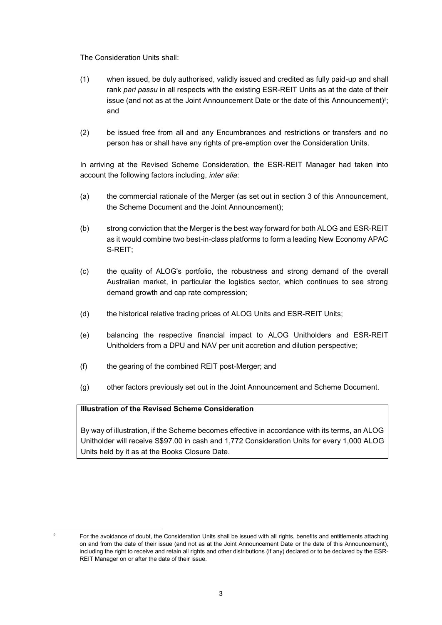The Consideration Units shall:

- (1) when issued, be duly authorised, validly issued and credited as fully paid-up and shall rank *pari passu* in all respects with the existing ESR-REIT Units as at the date of their issue (and not as at the Joint Announcement Date or the date of this Announcement) 2 ; and
- (2) be issued free from all and any Encumbrances and restrictions or transfers and no person has or shall have any rights of pre-emption over the Consideration Units.

In arriving at the Revised Scheme Consideration, the ESR-REIT Manager had taken into account the following factors including, *inter alia*:

- (a) the commercial rationale of the Merger (as set out in section 3 of this Announcement, the Scheme Document and the Joint Announcement);
- (b) strong conviction that the Merger is the best way forward for both ALOG and ESR-REIT as it would combine two best-in-class platforms to form a leading New Economy APAC S-REIT;
- (c) the quality of ALOG's portfolio, the robustness and strong demand of the overall Australian market, in particular the logistics sector, which continues to see strong demand growth and cap rate compression;
- (d) the historical relative trading prices of ALOG Units and ESR-REIT Units;
- (e) balancing the respective financial impact to ALOG Unitholders and ESR-REIT Unitholders from a DPU and NAV per unit accretion and dilution perspective;
- (f) the gearing of the combined REIT post-Merger; and
- (g) other factors previously set out in the Joint Announcement and Scheme Document.

#### **Illustration of the Revised Scheme Consideration**

By way of illustration, if the Scheme becomes effective in accordance with its terms, an ALOG Unitholder will receive S\$97.00 in cash and 1,772 Consideration Units for every 1,000 ALOG Units held by it as at the Books Closure Date.

<sup>1</sup> 

<sup>&</sup>lt;sup>2</sup> For the avoidance of doubt, the Consideration Units shall be issued with all rights, benefits and entitlements attaching on and from the date of their issue (and not as at the Joint Announcement Date or the date of this Announcement), including the right to receive and retain all rights and other distributions (if any) declared or to be declared by the ESR-REIT Manager on or after the date of their issue.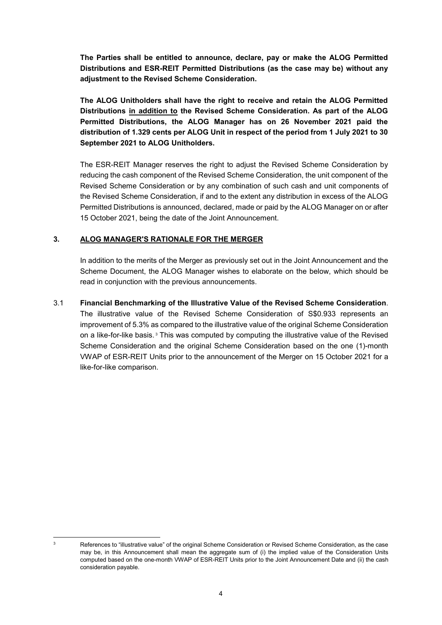**The Parties shall be entitled to announce, declare, pay or make the ALOG Permitted Distributions and ESR-REIT Permitted Distributions (as the case may be) without any adjustment to the Revised Scheme Consideration.**

**The ALOG Unitholders shall have the right to receive and retain the ALOG Permitted Distributions in addition to the Revised Scheme Consideration. As part of the ALOG Permitted Distributions, the ALOG Manager has on 26 November 2021 paid the distribution of 1.329 cents per ALOG Unit in respect of the period from 1 July 2021 to 30 September 2021 to ALOG Unitholders.** 

The ESR-REIT Manager reserves the right to adjust the Revised Scheme Consideration by reducing the cash component of the Revised Scheme Consideration, the unit component of the Revised Scheme Consideration or by any combination of such cash and unit components of the Revised Scheme Consideration, if and to the extent any distribution in excess of the ALOG Permitted Distributions is announced, declared, made or paid by the ALOG Manager on or after 15 October 2021, being the date of the Joint Announcement.

## **3. ALOG MANAGER'S RATIONALE FOR THE MERGER**

In addition to the merits of the Merger as previously set out in the Joint Announcement and the Scheme Document, the ALOG Manager wishes to elaborate on the below, which should be read in conjunction with the previous announcements.

#### 3.1 **Financial Benchmarking of the Illustrative Value of the Revised Scheme Consideration**.

The illustrative value of the Revised Scheme Consideration of S\$0.933 represents an improvement of 5.3% as compared to the illustrative value of the original Scheme Consideration on a like-for-like basis.<sup>3</sup> This was computed by computing the illustrative value of the Revised Scheme Consideration and the original Scheme Consideration based on the one (1)-month VWAP of ESR-REIT Units prior to the announcement of the Merger on 15 October 2021 for a like-for-like comparison.

<sup>1</sup> 

<sup>&</sup>lt;sup>3</sup> References to "illustrative value" of the original Scheme Consideration or Revised Scheme Consideration, as the case may be, in this Announcement shall mean the aggregate sum of (i) the implied value of the Consideration Units computed based on the one-month VWAP of ESR-REIT Units prior to the Joint Announcement Date and (ii) the cash consideration payable.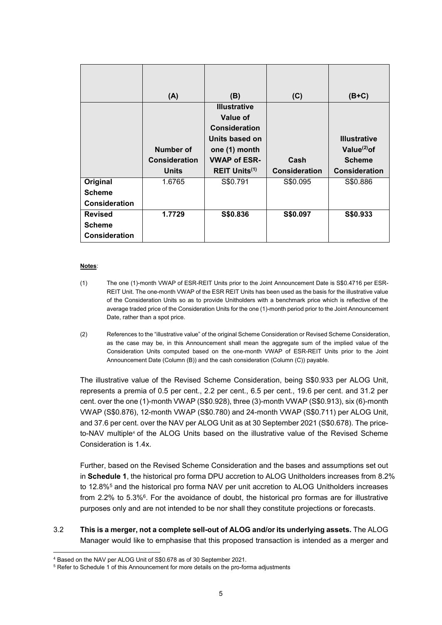|                      | (A)                  | (B)                       | (C)                  | $(B+C)$              |
|----------------------|----------------------|---------------------------|----------------------|----------------------|
|                      |                      | <b>Illustrative</b>       |                      |                      |
|                      |                      | <b>Value of</b>           |                      |                      |
|                      |                      | <b>Consideration</b>      |                      |                      |
|                      |                      | Units based on            |                      | <b>Illustrative</b>  |
|                      | Number of            | one (1) month             |                      | Value $^{(2)}$ of    |
|                      | <b>Consideration</b> | <b>VWAP of ESR-</b>       | Cash                 | <b>Scheme</b>        |
|                      | <b>Units</b>         | REIT Units <sup>(1)</sup> | <b>Consideration</b> | <b>Consideration</b> |
| Original             | 1.6765               | S\$0.791                  | S\$0.095             | S\$0.886             |
| <b>Scheme</b>        |                      |                           |                      |                      |
| <b>Consideration</b> |                      |                           |                      |                      |
| <b>Revised</b>       | 1.7729               | S\$0.836                  | S\$0.097             | S\$0.933             |
| <b>Scheme</b>        |                      |                           |                      |                      |
| <b>Consideration</b> |                      |                           |                      |                      |

#### **Notes**:

1

- (1) The one (1)-month VWAP of ESR-REIT Units prior to the Joint Announcement Date is S\$0.4716 per ESR-REIT Unit. The one-month VWAP of the ESR REIT Units has been used as the basis for the illustrative value of the Consideration Units so as to provide Unitholders with a benchmark price which is reflective of the average traded price of the Consideration Units for the one (1)-month period prior to the Joint Announcement Date, rather than a spot price.
- (2) References to the "illustrative value" of the original Scheme Consideration or Revised Scheme Consideration, as the case may be, in this Announcement shall mean the aggregate sum of the implied value of the Consideration Units computed based on the one-month VWAP of ESR-REIT Units prior to the Joint Announcement Date (Column (B)) and the cash consideration (Column (C)) payable.

The illustrative value of the Revised Scheme Consideration, being S\$0.933 per ALOG Unit, represents a premia of 0.5 per cent., 2.2 per cent., 6.5 per cent., 19.6 per cent. and 31.2 per cent. over the one (1)-month VWAP (S\$0.928), three (3)-month VWAP (S\$0.913), six (6)-month VWAP (S\$0.876), 12-month VWAP (S\$0.780) and 24-month VWAP (S\$0.711) per ALOG Unit, and 37.6 per cent. over the NAV per ALOG Unit as at 30 September 2021 (S\$0.678). The priceto-NAV multiple<sup>4</sup> of the ALOG Units based on the illustrative value of the Revised Scheme Consideration is 1.4x.

Further, based on the Revised Scheme Consideration and the bases and assumptions set out in **Schedule 1**, the historical pro forma DPU accretion to ALOG Unitholders increases from 8.2% to 12.8%<sup>5</sup> and the historical pro forma NAV per unit accretion to ALOG Unitholders increases from 2.2% to 5.3%<sup>6</sup>. For the avoidance of doubt, the historical pro formas are for illustrative purposes only and are not intended to be nor shall they constitute projections or forecasts.

3.2 **This is a merger, not a complete sell-out of ALOG and/or its underlying assets.** The ALOG Manager would like to emphasise that this proposed transaction is intended as a merger and

<sup>4</sup> Based on the NAV per ALOG Unit of S\$0.678 as of 30 September 2021.

<sup>&</sup>lt;sup>5</sup> Refer to Schedule 1 of this Announcement for more details on the pro-forma adjustments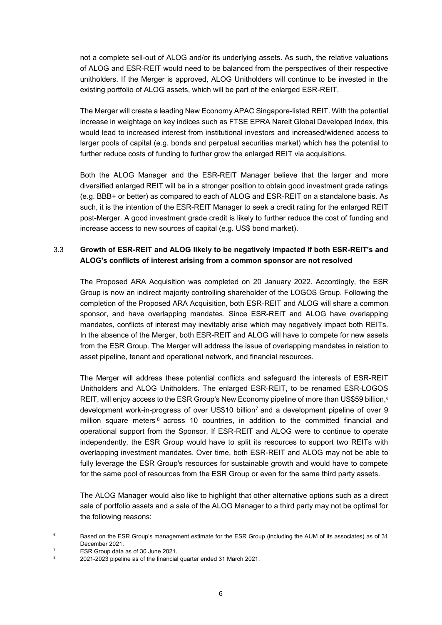not a complete sell-out of ALOG and/or its underlying assets. As such, the relative valuations of ALOG and ESR-REIT would need to be balanced from the perspectives of their respective unitholders. If the Merger is approved, ALOG Unitholders will continue to be invested in the existing portfolio of ALOG assets, which will be part of the enlarged ESR-REIT.

The Merger will create a leading New Economy APAC Singapore-listed REIT. With the potential increase in weightage on key indices such as FTSE EPRA Nareit Global Developed Index, this would lead to increased interest from institutional investors and increased/widened access to larger pools of capital (e.g. bonds and perpetual securities market) which has the potential to further reduce costs of funding to further grow the enlarged REIT via acquisitions.

Both the ALOG Manager and the ESR-REIT Manager believe that the larger and more diversified enlarged REIT will be in a stronger position to obtain good investment grade ratings (e.g. BBB+ or better) as compared to each of ALOG and ESR-REIT on a standalone basis. As such, it is the intention of the ESR-REIT Manager to seek a credit rating for the enlarged REIT post-Merger. A good investment grade credit is likely to further reduce the cost of funding and increase access to new sources of capital (e.g. US\$ bond market).

# 3.3 **Growth of ESR-REIT and ALOG likely to be negatively impacted if both ESR-REIT's and ALOG's conflicts of interest arising from a common sponsor are not resolved**

The Proposed ARA Acquisition was completed on 20 January 2022. Accordingly, the ESR Group is now an indirect majority controlling shareholder of the LOGOS Group. Following the completion of the Proposed ARA Acquisition, both ESR-REIT and ALOG will share a common sponsor, and have overlapping mandates. Since ESR-REIT and ALOG have overlapping mandates, conflicts of interest may inevitably arise which may negatively impact both REITs. In the absence of the Merger, both ESR-REIT and ALOG will have to compete for new assets from the ESR Group. The Merger will address the issue of overlapping mandates in relation to asset pipeline, tenant and operational network, and financial resources.

The Merger will address these potential conflicts and safeguard the interests of ESR-REIT Unitholders and ALOG Unitholders. The enlarged ESR-REIT, to be renamed ESR-LOGOS REIT, will enjoy access to the ESR Group's New Economy pipeline of more than US\$59 billion,<sup>6</sup> development work-in-progress of over US\$10 billion<sup>7</sup> and a development pipeline of over 9 million square meters  $8$  across 10 countries, in addition to the committed financial and operational support from the Sponsor. If ESR-REIT and ALOG were to continue to operate independently, the ESR Group would have to split its resources to support two REITs with overlapping investment mandates. Over time, both ESR-REIT and ALOG may not be able to fully leverage the ESR Group's resources for sustainable growth and would have to compete for the same pool of resources from the ESR Group or even for the same third party assets.

The ALOG Manager would also like to highlight that other alternative options such as a direct sale of portfolio assets and a sale of the ALOG Manager to a third party may not be optimal for the following reasons:

-

<sup>&</sup>lt;sup>6</sup> Based on the ESR Group's management estimate for the ESR Group (including the AUM of its associates) as of 31 December 2021.

 $\frac{7}{8}$  ESR Group data as of 30 June 2021.

<sup>8</sup> 2021-2023 pipeline as of the financial quarter ended 31 March 2021.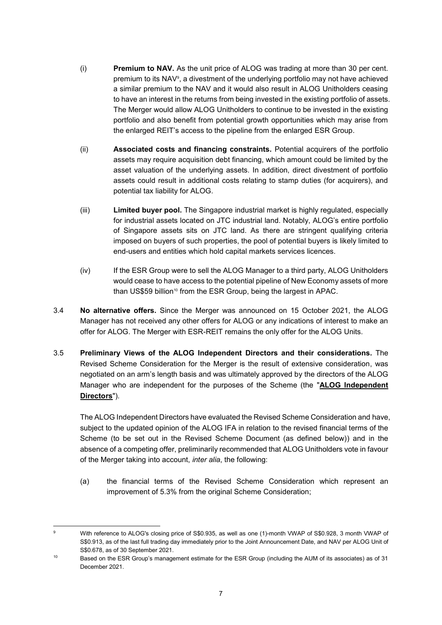- (i) **Premium to NAV.** As the unit price of ALOG was trading at more than 30 per cent. premium to its NAV<sup>9</sup> , a divestment of the underlying portfolio may not have achieved a similar premium to the NAV and it would also result in ALOG Unitholders ceasing to have an interest in the returns from being invested in the existing portfolio of assets. The Merger would allow ALOG Unitholders to continue to be invested in the existing portfolio and also benefit from potential growth opportunities which may arise from the enlarged REIT's access to the pipeline from the enlarged ESR Group.
- (ii) **Associated costs and financing constraints.** Potential acquirers of the portfolio assets may require acquisition debt financing, which amount could be limited by the asset valuation of the underlying assets. In addition, direct divestment of portfolio assets could result in additional costs relating to stamp duties (for acquirers), and potential tax liability for ALOG.
- (iii) **Limited buyer pool.** The Singapore industrial market is highly regulated, especially for industrial assets located on JTC industrial land. Notably, ALOG's entire portfolio of Singapore assets sits on JTC land. As there are stringent qualifying criteria imposed on buyers of such properties, the pool of potential buyers is likely limited to end-users and entities which hold capital markets services licences.
- (iv) If the ESR Group were to sell the ALOG Manager to a third party, ALOG Unitholders would cease to have access to the potential pipeline of New Economy assets of more than US\$59 billion<sup>10</sup> from the ESR Group, being the largest in APAC.
- 3.4 **No alternative offers.** Since the Merger was announced on 15 October 2021, the ALOG Manager has not received any other offers for ALOG or any indications of interest to make an offer for ALOG. The Merger with ESR-REIT remains the only offer for the ALOG Units.
- 3.5 **Preliminary Views of the ALOG Independent Directors and their considerations.** The Revised Scheme Consideration for the Merger is the result of extensive consideration, was negotiated on an arm's length basis and was ultimately approved by the directors of the ALOG Manager who are independent for the purposes of the Scheme (the "**ALOG Independent Directors**").

The ALOG Independent Directors have evaluated the Revised Scheme Consideration and have, subject to the updated opinion of the ALOG IFA in relation to the revised financial terms of the Scheme (to be set out in the Revised Scheme Document (as defined below)) and in the absence of a competing offer, preliminarily recommended that ALOG Unitholders vote in favour of the Merger taking into account, *inter alia*, the following:

(a) the financial terms of the Revised Scheme Consideration which represent an improvement of 5.3% from the original Scheme Consideration;

<sup>1</sup> <sup>9</sup> With reference to ALOG's closing price of S\$0.935, as well as one (1)-month VWAP of S\$0.928, 3 month VWAP of S\$0.913, as of the last full trading day immediately prior to the Joint Announcement Date, and NAV per ALOG Unit of S\$0.678, as of 30 September 2021.

<sup>10</sup> Based on the ESR Group's management estimate for the ESR Group (including the AUM of its associates) as of 31 December 2021.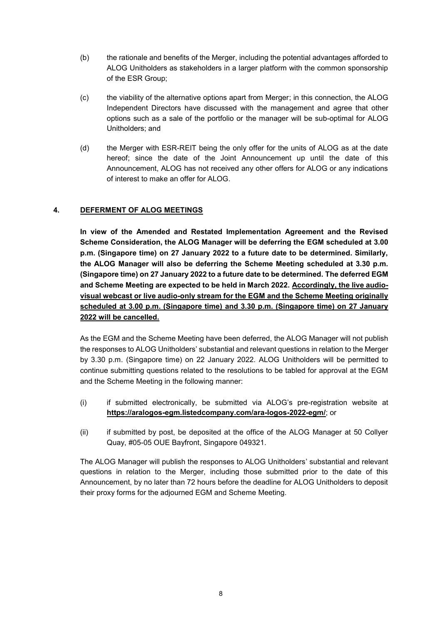- (b) the rationale and benefits of the Merger, including the potential advantages afforded to ALOG Unitholders as stakeholders in a larger platform with the common sponsorship of the ESR Group;
- (c) the viability of the alternative options apart from Merger; in this connection, the ALOG Independent Directors have discussed with the management and agree that other options such as a sale of the portfolio or the manager will be sub-optimal for ALOG Unitholders; and
- (d) the Merger with ESR-REIT being the only offer for the units of ALOG as at the date hereof; since the date of the Joint Announcement up until the date of this Announcement, ALOG has not received any other offers for ALOG or any indications of interest to make an offer for ALOG.

## **4. DEFERMENT OF ALOG MEETINGS**

**In view of the Amended and Restated Implementation Agreement and the Revised Scheme Consideration, the ALOG Manager will be deferring the EGM scheduled at 3.00 p.m. (Singapore time) on 27 January 2022 to a future date to be determined. Similarly, the ALOG Manager will also be deferring the Scheme Meeting scheduled at 3.30 p.m. (Singapore time) on 27 January 2022 to a future date to be determined. The deferred EGM and Scheme Meeting are expected to be held in March 2022. Accordingly, the live audiovisual webcast or live audio-only stream for the EGM and the Scheme Meeting originally scheduled at 3.00 p.m. (Singapore time) and 3.30 p.m. (Singapore time) on 27 January 2022 will be cancelled.**

As the EGM and the Scheme Meeting have been deferred, the ALOG Manager will not publish the responses to ALOG Unitholders' substantial and relevant questions in relation to the Merger by 3.30 p.m. (Singapore time) on 22 January 2022. ALOG Unitholders will be permitted to continue submitting questions related to the resolutions to be tabled for approval at the EGM and the Scheme Meeting in the following manner:

- (i) if submitted electronically, be submitted via ALOG's pre-registration website at **<https://aralogos-egm.listedcompany.com/ara-logos-2022-egm/>**; or
- (ii) if submitted by post, be deposited at the office of the ALOG Manager at 50 Collyer Quay, #05-05 OUE Bayfront, Singapore 049321.

The ALOG Manager will publish the responses to ALOG Unitholders' substantial and relevant questions in relation to the Merger, including those submitted prior to the date of this Announcement, by no later than 72 hours before the deadline for ALOG Unitholders to deposit their proxy forms for the adjourned EGM and Scheme Meeting.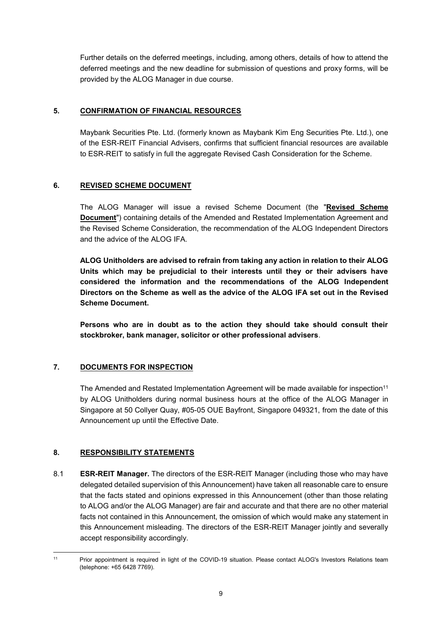Further details on the deferred meetings, including, among others, details of how to attend the deferred meetings and the new deadline for submission of questions and proxy forms, will be provided by the ALOG Manager in due course.

### **5. CONFIRMATION OF FINANCIAL RESOURCES**

Maybank Securities Pte. Ltd. (formerly known as Maybank Kim Eng Securities Pte. Ltd.), one of the ESR-REIT Financial Advisers, confirms that sufficient financial resources are available to ESR-REIT to satisfy in full the aggregate Revised Cash Consideration for the Scheme.

#### **6. REVISED SCHEME DOCUMENT**

The ALOG Manager will issue a revised Scheme Document (the "**Revised Scheme Document**") containing details of the Amended and Restated Implementation Agreement and the Revised Scheme Consideration, the recommendation of the ALOG Independent Directors and the advice of the ALOG IFA.

**ALOG Unitholders are advised to refrain from taking any action in relation to their ALOG Units which may be prejudicial to their interests until they or their advisers have considered the information and the recommendations of the ALOG Independent Directors on the Scheme as well as the advice of the ALOG IFA set out in the Revised Scheme Document.**

**Persons who are in doubt as to the action they should take should consult their stockbroker, bank manager, solicitor or other professional advisers**.

## **7. DOCUMENTS FOR INSPECTION**

The Amended and Restated Implementation Agreement will be made available for inspection<sup>11</sup> by ALOG Unitholders during normal business hours at the office of the ALOG Manager in Singapore at 50 Collyer Quay, #05-05 OUE Bayfront, Singapore 049321, from the date of this Announcement up until the Effective Date.

## **8. RESPONSIBILITY STATEMENTS**

8.1 **ESR-REIT Manager.** The directors of the ESR-REIT Manager (including those who may have delegated detailed supervision of this Announcement) have taken all reasonable care to ensure that the facts stated and opinions expressed in this Announcement (other than those relating to ALOG and/or the ALOG Manager) are fair and accurate and that there are no other material facts not contained in this Announcement, the omission of which would make any statement in this Announcement misleading. The directors of the ESR-REIT Manager jointly and severally accept responsibility accordingly.

<sup>1</sup> <sup>11</sup> Prior appointment is required in light of the COVID-19 situation. Please contact ALOG's Investors Relations team (telephone: +65 6428 7769).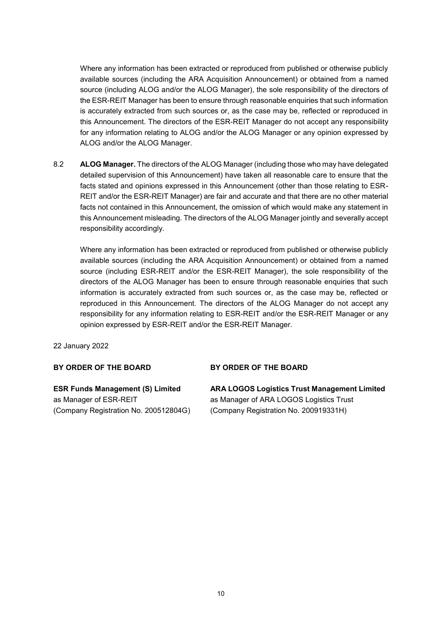Where any information has been extracted or reproduced from published or otherwise publicly available sources (including the ARA Acquisition Announcement) or obtained from a named source (including ALOG and/or the ALOG Manager), the sole responsibility of the directors of the ESR-REIT Manager has been to ensure through reasonable enquiries that such information is accurately extracted from such sources or, as the case may be, reflected or reproduced in this Announcement. The directors of the ESR-REIT Manager do not accept any responsibility for any information relating to ALOG and/or the ALOG Manager or any opinion expressed by ALOG and/or the ALOG Manager.

8.2 **ALOG Manager.** The directors of the ALOG Manager (including those who may have delegated detailed supervision of this Announcement) have taken all reasonable care to ensure that the facts stated and opinions expressed in this Announcement (other than those relating to ESR-REIT and/or the ESR-REIT Manager) are fair and accurate and that there are no other material facts not contained in this Announcement, the omission of which would make any statement in this Announcement misleading. The directors of the ALOG Manager jointly and severally accept responsibility accordingly.

Where any information has been extracted or reproduced from published or otherwise publicly available sources (including the ARA Acquisition Announcement) or obtained from a named source (including ESR-REIT and/or the ESR-REIT Manager), the sole responsibility of the directors of the ALOG Manager has been to ensure through reasonable enquiries that such information is accurately extracted from such sources or, as the case may be, reflected or reproduced in this Announcement. The directors of the ALOG Manager do not accept any responsibility for any information relating to ESR-REIT and/or the ESR-REIT Manager or any opinion expressed by ESR-REIT and/or the ESR-REIT Manager.

22 January 2022

#### **BY ORDER OF THE BOARD**

#### **BY ORDER OF THE BOARD**

**ESR Funds Management (S) Limited**  as Manager of ESR-REIT (Company Registration No. 200512804G) **ARA LOGOS Logistics Trust Management Limited** as Manager of ARA LOGOS Logistics Trust (Company Registration No. 200919331H)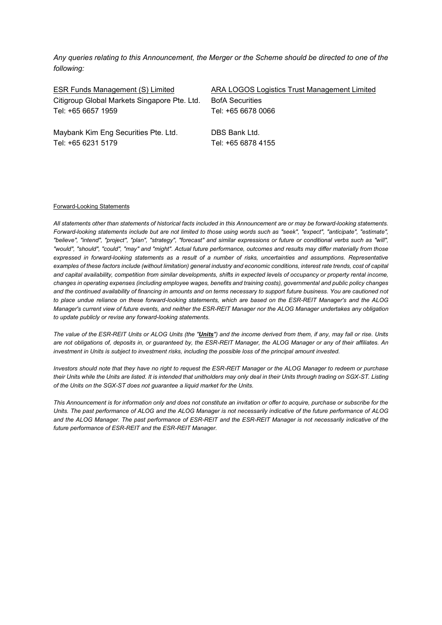*Any queries relating to this Announcement, the Merger or the Scheme should be directed to one of the following:*

Citigroup Global Markets Singapore Pte. Ltd. BofA Securities Tel: +65 6657 1959 Tel: +65 6678 0066

ESR Funds Management (S) Limited ARA LOGOS Logistics Trust Management Limited

Maybank Kim Eng Securities Pte. Ltd. DBS Bank Ltd. Tel: +65 6231 5179 Tel: +65 6878 4155

#### Forward-Looking Statements

*All statements other than statements of historical facts included in this Announcement are or may be forward-looking statements. Forward-looking statements include but are not limited to those using words such as "seek", "expect", "anticipate", "estimate", "believe", "intend", "project", "plan", "strategy", "forecast" and similar expressions or future or conditional verbs such as "will", "would", "should", "could", "may" and "might". Actual future performance, outcomes and results may differ materially from those expressed in forward-looking statements as a result of a number of risks, uncertainties and assumptions. Representative examples of these factors include (without limitation) general industry and economic conditions, interest rate trends, cost of capital and capital availability, competition from similar developments, shifts in expected levels of occupancy or property rental income, changes in operating expenses (including employee wages, benefits and training costs), governmental and public policy changes and the continued availability of financing in amounts and on terms necessary to support future business. You are cautioned not to place undue reliance on these forward-looking statements, which are based on the ESR-REIT Manager's and the ALOG Manager's current view of future events, and neither the ESR-REIT Manager nor the ALOG Manager undertakes any obligation to update publicly or revise any forward-looking statements.*

*The value of the ESR-REIT Units or ALOG Units (the "Units") and the income derived from them, if any, may fall or rise. Units are not obligations of, deposits in, or guaranteed by, the ESR-REIT Manager, the ALOG Manager or any of their affiliates. An investment in Units is subject to investment risks, including the possible loss of the principal amount invested.* 

*Investors should note that they have no right to request the ESR-REIT Manager or the ALOG Manager to redeem or purchase their Units while the Units are listed. It is intended that unitholders may only deal in their Units through trading on SGX-ST. Listing of the Units on the SGX-ST does not guarantee a liquid market for the Units.* 

*This Announcement is for information only and does not constitute an invitation or offer to acquire, purchase or subscribe for the Units. The past performance of ALOG and the ALOG Manager is not necessarily indicative of the future performance of ALOG and the ALOG Manager. The past performance of ESR-REIT and the ESR-REIT Manager is not necessarily indicative of the future performance of ESR-REIT and the ESR-REIT Manager.*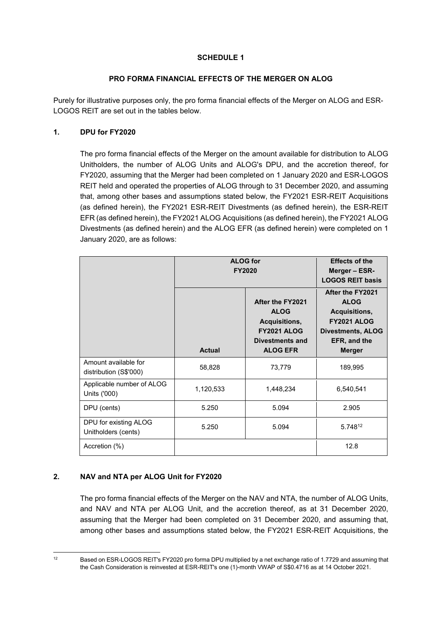## **SCHEDULE 1**

#### **PRO FORMA FINANCIAL EFFECTS OF THE MERGER ON ALOG**

Purely for illustrative purposes only, the pro forma financial effects of the Merger on ALOG and ESR-LOGOS REIT are set out in the tables below.

### **1. DPU for FY2020**

The pro forma financial effects of the Merger on the amount available for distribution to ALOG Unitholders, the number of ALOG Units and ALOG's DPU, and the accretion thereof, for FY2020, assuming that the Merger had been completed on 1 January 2020 and ESR-LOGOS REIT held and operated the properties of ALOG through to 31 December 2020, and assuming that, among other bases and assumptions stated below, the FY2021 ESR-REIT Acquisitions (as defined herein), the FY2021 ESR-REIT Divestments (as defined herein), the ESR-REIT EFR (as defined herein), the FY2021 ALOG Acquisitions (as defined herein), the FY2021 ALOG Divestments (as defined herein) and the ALOG EFR (as defined herein) were completed on 1 January 2020, are as follows:

|                                                | <b>ALOG</b> for<br><b>FY2020</b> |                                                                                                                     | <b>Effects of the</b><br>Merger - ESR-<br><b>LOGOS REIT basis</b>                                                                   |
|------------------------------------------------|----------------------------------|---------------------------------------------------------------------------------------------------------------------|-------------------------------------------------------------------------------------------------------------------------------------|
|                                                | <b>Actual</b>                    | After the FY2021<br><b>ALOG</b><br>Acquisitions,<br><b>FY2021 ALOG</b><br><b>Divestments and</b><br><b>ALOG EFR</b> | After the FY2021<br><b>ALOG</b><br>Acquisitions,<br><b>FY2021 ALOG</b><br><b>Divestments, ALOG</b><br>EFR, and the<br><b>Merger</b> |
| Amount available for<br>distribution (S\$'000) | 58,828                           | 73,779                                                                                                              | 189,995                                                                                                                             |
| Applicable number of ALOG<br>Units ('000)      | 1,120,533                        | 1,448,234                                                                                                           | 6,540,541                                                                                                                           |
| DPU (cents)                                    | 5.250                            | 5.094                                                                                                               | 2.905                                                                                                                               |
| DPU for existing ALOG<br>Unitholders (cents)   | 5.250                            | 5.094                                                                                                               | 5.74812                                                                                                                             |
| Accretion (%)                                  |                                  |                                                                                                                     | 12.8                                                                                                                                |

## **2. NAV and NTA per ALOG Unit for FY2020**

The pro forma financial effects of the Merger on the NAV and NTA, the number of ALOG Units, and NAV and NTA per ALOG Unit, and the accretion thereof, as at 31 December 2020, assuming that the Merger had been completed on 31 December 2020, and assuming that, among other bases and assumptions stated below, the FY2021 ESR-REIT Acquisitions, the

<sup>&</sup>lt;sup>12</sup> Based on ESR-LOGOS REIT's FY2020 pro forma DPU multiplied by a net exchange ratio of 1.7729 and assuming that the Cash Consideration is reinvested at ESR-REIT's one (1)-month VWAP of S\$0.4716 as at 14 October 2021.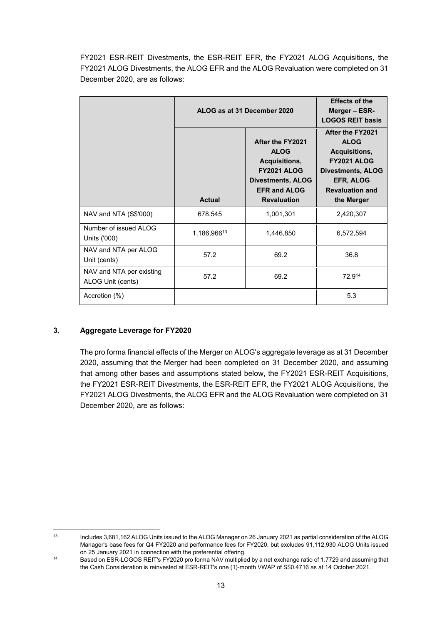FY2021 ESR-REIT Divestments, the ESR-REIT EFR, the FY2021 ALOG Acquisitions, the FY2021 ALOG Divestments, the ALOG EFR and the ALOG Revaluation were completed on 31 December 2020, are as follows:

|                                               | ALOG as at 31 December 2020 |                                                                                                                                                 | <b>Effects of the</b><br>Merger - ESR-<br><b>LOGOS REIT basis</b>                                                                                       |
|-----------------------------------------------|-----------------------------|-------------------------------------------------------------------------------------------------------------------------------------------------|---------------------------------------------------------------------------------------------------------------------------------------------------------|
|                                               | <b>Actual</b>               | After the FY2021<br><b>ALOG</b><br>Acquisitions,<br><b>FY2021 ALOG</b><br><b>Divestments, ALOG</b><br><b>EFR and ALOG</b><br><b>Revaluation</b> | After the FY2021<br><b>ALOG</b><br>Acquisitions,<br><b>FY2021 ALOG</b><br><b>Divestments, ALOG</b><br>EFR, ALOG<br><b>Revaluation and</b><br>the Merger |
| NAV and NTA (S\$'000)                         | 678,545                     | 1,001,301                                                                                                                                       | 2,420,307                                                                                                                                               |
| Number of issued ALOG<br>Units ('000)         | 1,186,96613                 | 1,446,850                                                                                                                                       | 6,572,594                                                                                                                                               |
| NAV and NTA per ALOG<br>Unit (cents)          | 57.2                        | 69.2                                                                                                                                            | 36.8                                                                                                                                                    |
| NAV and NTA per existing<br>ALOG Unit (cents) | 57.2                        | 69.2                                                                                                                                            | 72.914                                                                                                                                                  |
| Accretion (%)                                 |                             |                                                                                                                                                 | 5.3                                                                                                                                                     |

# **3. Aggregate Leverage for FY2020**

The pro forma financial effects of the Merger on ALOG's aggregate leverage as at 31 December 2020, assuming that the Merger had been completed on 31 December 2020, and assuming that among other bases and assumptions stated below, the FY2021 ESR-REIT Acquisitions, the FY2021 ESR-REIT Divestments, the ESR-REIT EFR, the FY2021 ALOG Acquisitions, the FY2021 ALOG Divestments, the ALOG EFR and the ALOG Revaluation were completed on 31 December 2020, are as follows:

 $13$ <sup>13</sup> Includes 3,681,162 ALOG Units issued to the ALOG Manager on 26 January 2021 as partial consideration of the ALOG Manager's base fees for Q4 FY2020 and performance fees for FY2020, but excludes 91,112,930 ALOG Units issued on 25 January 2021 in connection with the preferential offering.

<sup>&</sup>lt;sup>14</sup> Based on ESR-LOGOS REIT's FY2020 pro forma NAV multiplied by a net exchange ratio of 1.7729 and assuming that the Cash Consideration is reinvested at ESR-REIT's one (1)-month VWAP of S\$0.4716 as at 14 October 2021.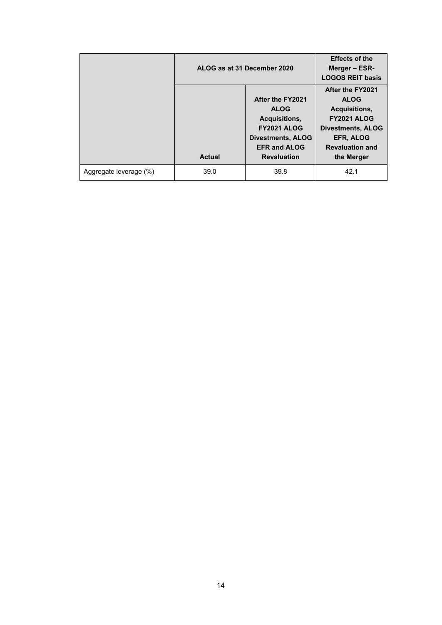|                        | ALOG as at 31 December 2020 |                          | <b>Effects of the</b><br>Merger - ESR-<br><b>LOGOS REIT basis</b> |
|------------------------|-----------------------------|--------------------------|-------------------------------------------------------------------|
|                        |                             |                          | After the FY2021                                                  |
|                        |                             | After the FY2021         | <b>ALOG</b>                                                       |
|                        |                             | <b>ALOG</b>              | Acquisitions,                                                     |
|                        |                             | Acquisitions,            | <b>FY2021 ALOG</b>                                                |
|                        |                             | <b>FY2021 ALOG</b>       | <b>Divestments, ALOG</b>                                          |
|                        |                             | <b>Divestments, ALOG</b> | <b>EFR, ALOG</b>                                                  |
|                        |                             | <b>EFR and ALOG</b>      | <b>Revaluation and</b>                                            |
|                        | <b>Actual</b>               | <b>Revaluation</b>       | the Merger                                                        |
| Aggregate leverage (%) | 39.0                        | 39.8                     | 42.1                                                              |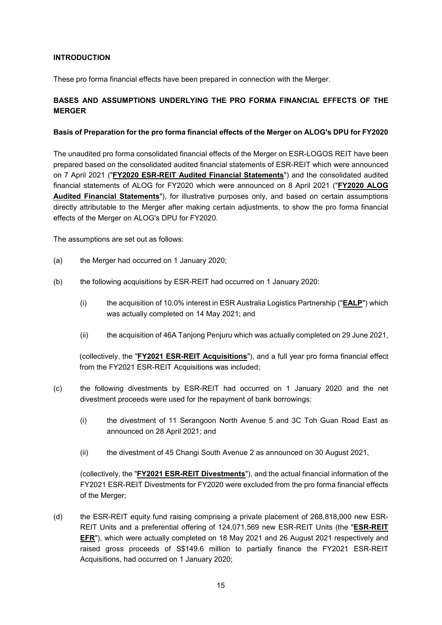### **INTRODUCTION**

These pro forma financial effects have been prepared in connection with the Merger.

## **BASES AND ASSUMPTIONS UNDERLYING THE PRO FORMA FINANCIAL EFFECTS OF THE MERGER**

#### **Basis of Preparation for the pro forma financial effects of the Merger on ALOG's DPU for FY2020**

The unaudited pro forma consolidated financial effects of the Merger on ESR-LOGOS REIT have been prepared based on the consolidated audited financial statements of ESR-REIT which were announced on 7 April 2021 ("**FY2020 ESR-REIT Audited Financial Statements**") and the consolidated audited financial statements of ALOG for FY2020 which were announced on 8 April 2021 ("**FY2020 ALOG Audited Financial Statements**"), for illustrative purposes only, and based on certain assumptions directly attributable to the Merger after making certain adjustments, to show the pro forma financial effects of the Merger on ALOG's DPU for FY2020.

The assumptions are set out as follows:

- (a) the Merger had occurred on 1 January 2020;
- (b) the following acquisitions by ESR-REIT had occurred on 1 January 2020:
	- (i) the acquisition of 10.0% interest in ESR Australia Logistics Partnership ("**EALP**") which was actually completed on 14 May 2021; and
	- (ii) the acquisition of 46A Tanjong Penjuru which was actually completed on 29 June 2021,

(collectively, the "**FY2021 ESR-REIT Acquisitions**"), and a full year pro forma financial effect from the FY2021 ESR-REIT Acquisitions was included;

- (c) the following divestments by ESR-REIT had occurred on 1 January 2020 and the net divestment proceeds were used for the repayment of bank borrowings:
	- (i) the divestment of 11 Serangoon North Avenue 5 and 3C Toh Guan Road East as announced on 28 April 2021; and
	- (ii) the divestment of 45 Changi South Avenue 2 as announced on 30 August 2021,

(collectively, the "**FY2021 ESR-REIT Divestments**"), and the actual financial information of the FY2021 ESR-REIT Divestments for FY2020 were excluded from the pro forma financial effects of the Merger;

(d) the ESR-REIT equity fund raising comprising a private placement of 268,818,000 new ESR-REIT Units and a preferential offering of 124,071,569 new ESR-REIT Units (the "**ESR-REIT EFR**"), which were actually completed on 18 May 2021 and 26 August 2021 respectively and raised gross proceeds of S\$149.6 million to partially finance the FY2021 ESR-REIT Acquisitions, had occurred on 1 January 2020;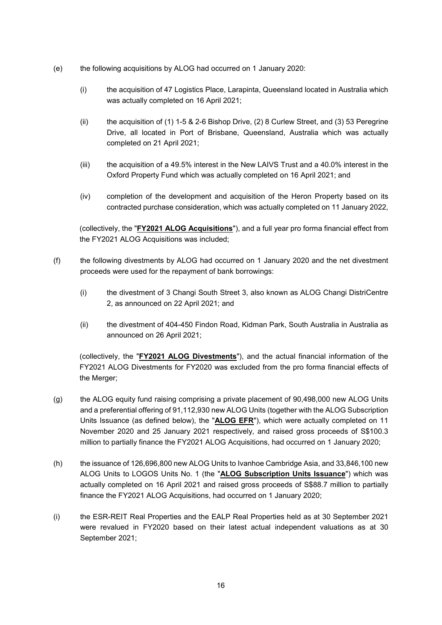- (e) the following acquisitions by ALOG had occurred on 1 January 2020:
	- (i) the acquisition of 47 Logistics Place, Larapinta, Queensland located in Australia which was actually completed on 16 April 2021;
	- (ii) the acquisition of (1) 1-5 & 2-6 Bishop Drive, (2) 8 Curlew Street, and (3) 53 Peregrine Drive, all located in Port of Brisbane, Queensland, Australia which was actually completed on 21 April 2021;
	- (iii) the acquisition of a 49.5% interest in the New LAIVS Trust and a 40.0% interest in the Oxford Property Fund which was actually completed on 16 April 2021; and
	- (iv) completion of the development and acquisition of the Heron Property based on its contracted purchase consideration, which was actually completed on 11 January 2022,

(collectively, the "**FY2021 ALOG Acquisitions**"), and a full year pro forma financial effect from the FY2021 ALOG Acquisitions was included;

- (f) the following divestments by ALOG had occurred on 1 January 2020 and the net divestment proceeds were used for the repayment of bank borrowings:
	- (i) the divestment of 3 Changi South Street 3, also known as ALOG Changi DistriCentre 2, as announced on 22 April 2021; and
	- (ii) the divestment of 404-450 Findon Road, Kidman Park, South Australia in Australia as announced on 26 April 2021;

(collectively, the "**FY2021 ALOG Divestments**"), and the actual financial information of the FY2021 ALOG Divestments for FY2020 was excluded from the pro forma financial effects of the Merger;

- (g) the ALOG equity fund raising comprising a private placement of 90,498,000 new ALOG Units and a preferential offering of 91,112,930 new ALOG Units (together with the ALOG Subscription Units Issuance (as defined below), the "**ALOG EFR**"), which were actually completed on 11 November 2020 and 25 January 2021 respectively, and raised gross proceeds of S\$100.3 million to partially finance the FY2021 ALOG Acquisitions, had occurred on 1 January 2020;
- (h) the issuance of 126,696,800 new ALOG Units to Ivanhoe Cambridge Asia, and 33,846,100 new ALOG Units to LOGOS Units No. 1 (the "**ALOG Subscription Units Issuance**") which was actually completed on 16 April 2021 and raised gross proceeds of S\$88.7 million to partially finance the FY2021 ALOG Acquisitions, had occurred on 1 January 2020;
- (i) the ESR-REIT Real Properties and the EALP Real Properties held as at 30 September 2021 were revalued in FY2020 based on their latest actual independent valuations as at 30 September 2021;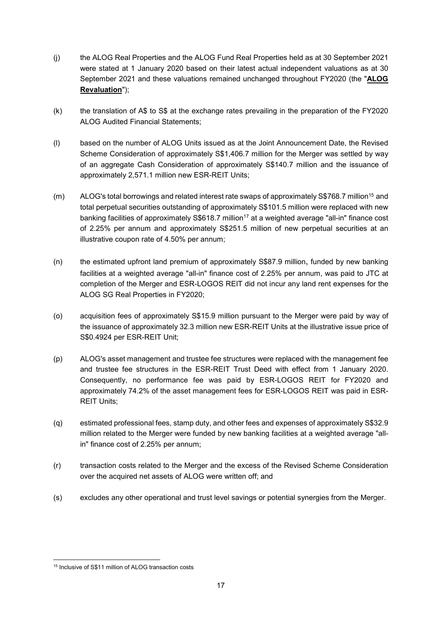- (j) the ALOG Real Properties and the ALOG Fund Real Properties held as at 30 September 2021 were stated at 1 January 2020 based on their latest actual independent valuations as at 30 September 2021 and these valuations remained unchanged throughout FY2020 (the "**ALOG Revaluation**");
- (k) the translation of A\$ to S\$ at the exchange rates prevailing in the preparation of the FY2020 ALOG Audited Financial Statements;
- (l) based on the number of ALOG Units issued as at the Joint Announcement Date, the Revised Scheme Consideration of approximately S\$1,406.7 million for the Merger was settled by way of an aggregate Cash Consideration of approximately S\$140.7 million and the issuance of approximately 2,571.1 million new ESR-REIT Units;
- (m) ALOG's total borrowings and related interest rate swaps of approximately S\$768.7 million<sup>15</sup> and total perpetual securities outstanding of approximately S\$101.5 million were replaced with new banking facilities of approximately S\$618.7 million<sup>17</sup> at a weighted average "all-in" finance cost of 2.25% per annum and approximately S\$251.5 million of new perpetual securities at an illustrative coupon rate of 4.50% per annum;
- (n) the estimated upfront land premium of approximately S\$87.9 million, funded by new banking facilities at a weighted average "all-in" finance cost of 2.25% per annum, was paid to JTC at completion of the Merger and ESR-LOGOS REIT did not incur any land rent expenses for the ALOG SG Real Properties in FY2020;
- (o) acquisition fees of approximately S\$15.9 million pursuant to the Merger were paid by way of the issuance of approximately 32.3 million new ESR-REIT Units at the illustrative issue price of S\$0.4924 per ESR-REIT Unit;
- (p) ALOG's asset management and trustee fee structures were replaced with the management fee and trustee fee structures in the ESR-REIT Trust Deed with effect from 1 January 2020. Consequently, no performance fee was paid by ESR-LOGOS REIT for FY2020 and approximately 74.2% of the asset management fees for ESR-LOGOS REIT was paid in ESR-REIT Units;
- (q) estimated professional fees, stamp duty, and other fees and expenses of approximately S\$32.9 million related to the Merger were funded by new banking facilities at a weighted average "allin" finance cost of 2.25% per annum;
- (r) transaction costs related to the Merger and the excess of the Revised Scheme Consideration over the acquired net assets of ALOG were written off; and
- (s) excludes any other operational and trust level savings or potential synergies from the Merger.

<sup>15</sup> Inclusive of S\$11 million of ALOG transaction costs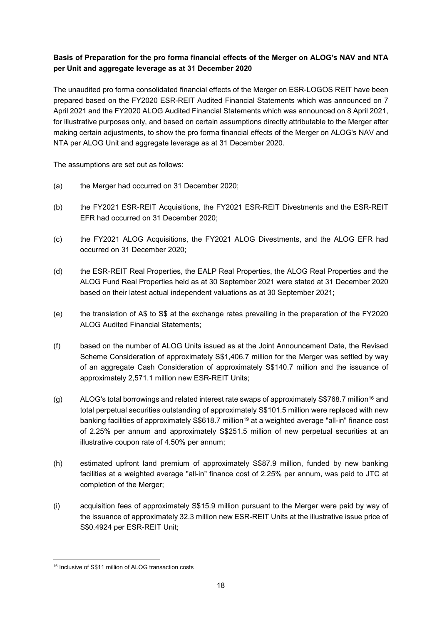# **Basis of Preparation for the pro forma financial effects of the Merger on ALOG's NAV and NTA per Unit and aggregate leverage as at 31 December 2020**

The unaudited pro forma consolidated financial effects of the Merger on ESR-LOGOS REIT have been prepared based on the FY2020 ESR-REIT Audited Financial Statements which was announced on 7 April 2021 and the FY2020 ALOG Audited Financial Statements which was announced on 8 April 2021, for illustrative purposes only, and based on certain assumptions directly attributable to the Merger after making certain adjustments, to show the pro forma financial effects of the Merger on ALOG's NAV and NTA per ALOG Unit and aggregate leverage as at 31 December 2020.

The assumptions are set out as follows:

- (a) the Merger had occurred on 31 December 2020;
- (b) the FY2021 ESR-REIT Acquisitions, the FY2021 ESR-REIT Divestments and the ESR-REIT EFR had occurred on 31 December 2020;
- (c) the FY2021 ALOG Acquisitions, the FY2021 ALOG Divestments, and the ALOG EFR had occurred on 31 December 2020;
- (d) the ESR-REIT Real Properties, the EALP Real Properties, the ALOG Real Properties and the ALOG Fund Real Properties held as at 30 September 2021 were stated at 31 December 2020 based on their latest actual independent valuations as at 30 September 2021;
- (e) the translation of A\$ to S\$ at the exchange rates prevailing in the preparation of the FY2020 ALOG Audited Financial Statements;
- (f) based on the number of ALOG Units issued as at the Joint Announcement Date, the Revised Scheme Consideration of approximately S\$1,406.7 million for the Merger was settled by way of an aggregate Cash Consideration of approximately S\$140.7 million and the issuance of approximately 2,571.1 million new ESR-REIT Units;
- (g) ALOG's total borrowings and related interest rate swaps of approximately S\$768.7 million<sup>16</sup> and total perpetual securities outstanding of approximately S\$101.5 million were replaced with new banking facilities of approximately S\$618.7 million<sup>19</sup> at a weighted average "all-in" finance cost of 2.25% per annum and approximately S\$251.5 million of new perpetual securities at an illustrative coupon rate of 4.50% per annum;
- (h) estimated upfront land premium of approximately S\$87.9 million, funded by new banking facilities at a weighted average "all-in" finance cost of 2.25% per annum, was paid to JTC at completion of the Merger;
- (i) acquisition fees of approximately S\$15.9 million pursuant to the Merger were paid by way of the issuance of approximately 32.3 million new ESR-REIT Units at the illustrative issue price of S\$0.4924 per ESR-REIT Unit;

<sup>16</sup> Inclusive of S\$11 million of ALOG transaction costs